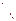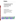

# **Environmental Technology Verification Program** Advanced Monitoring Systems Center

Test/QA Plan for Verification of Continuous Emission Monitors for Ammonia at a Coal-Fired Facility

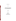# **TEST/QA PLAN**

# **FOR**

# **VERIFICATION OF CONTINUOUS EMISSION MONITORS FOR AMMONIA AT A COAL-FIRED FACILITY**

**June 2003**

**Prepared by**

**Battelle 505 King Avenue Columbus, OH 43201-2693**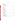# **TABLE OF CONTENTS**

| Page |
|------|
|      |
|      |
|      |
|      |
|      |
|      |
|      |
|      |
|      |
|      |
|      |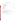# **TABLE OF CONTENTS (Continued)**

# **Tables**

| Table 4-1. Summary of Flue Gas Parameters or Constituent Concentrations       |  |
|-------------------------------------------------------------------------------|--|
| Table 4-2. Summary of Data to be Obtained in Ammonia CEM Verification Test 20 |  |

# **Figure**s

|--|--|--|--|--|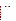# ETV Advanced Monitoring Systems Center

# Test/QA Plan for Verification of Continuous Emission Monitors for Ammonia at a Coal-Fired Facility

Version 1.0

June 25, 2003

APPROVAL:

| Name    |  |  |
|---------|--|--|
| Company |  |  |
| Date    |  |  |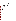# **DISTRIBUTION LIST**

Mr. Robert Fuerst U.S. Environmental Protection Agency-HEADS National Exposure Research Laboratory D-205-05 EPA Mailroom Research Triangle Park, NC 27711

Ms. Elizabeth A. Betz U.S. Environmental Protection Agency-HEADS National Exposure Research Laboratory E-205-01 EPA Mailroom Research Triangle Park, NC 27711

Mr. James Fletcher American Electric Power Company 1 Riverside Plaza Columbus, Ohio 43215-2373

Mr. Charles Dene EPRI 3412 Hillview Avenue Palo Alto, CA 93404-1395

Mr. Jan Grimbrandt Siemens Laser Analytics Box 5065, SE-402 22 Gööteborg, Sweden

Mr. Paul Stenberg Opsis, Inc. 1165 Lindavista Drive Suite 112 San Marcos, CA 92069 Karen Riggs Amy Dindal Ken Cowen Zachary Willenberg Battelle 505 King Avenue Columbus, OH 43201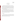#### **1.0 INTRODUCTION**

#### **1.1 Test Description**

This test/quality assurance (QA) plan provides procedures for a verification test of continuous emission monitors (CEMs) used to measure gaseous ammonia in source emissions. The verification test will be conducted under the auspices of the U.S. Environmental Protection Agency's (EPA) Environmental Technology Verification (ETV) program. The purpose of ETV is to provide objective and quality assured performance data on environmental technologies, so that users, developers, regulators, and consultants have an independent and credible assessment of what they are buying and permitting.

The verification test will be performed by Battelle, of Columbus, OH, which is EPA's partner for the ETV Advanced Monitoring Systems (AMS) Center. The scope of the AMS Center covers verification of monitoring methods for contaminants and natural species in air, water, and soil. In performing the verification test, Battelle will follow procedures specified in this test/QA plan, and will comply with quality requirements in the "Quality Management Plan for the ETV Advanced Monitoring Systems Center" (QMP).<sup>(1)</sup>

# **1.2 Test Objective**

The objective of the verification test is to verify the performance of commercial ammonia CEMs, by comparison to reference ammonia measurements, and by challenges with ammonia standard gases, under normal operating conditions in a full-scale coal-fired power plant utilizing a Selective Catalytic Reduction (SCR)  $NO<sub>x</sub>$  control technology.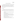## **1.3 Organization and Responsibilities**

The verification test will be performed by Battelle in cooperation with EPA, the vendors who will be having their CEMs verified, American Electric Power (AEP), and the Electric Power Research Institute (EPRI). The organization chart in Figure 1-1 shows the individuals from Battelle, the vendor companies, EPA, AEP, and EPRI who will have responsibilities in the verification test. The specific responsibilities of these individuals and organizations are detailed in the following paragraphs.

## **1.3.1 Battelle**

Dr. Kenneth Cowen is the AMS Center's Verification Test Coordinator for this test. In this role, Dr. Cowen will have overall responsibility for ensuring that the technical, schedule, and cost goals established for the verification test are met. More specifically, Dr. Cowen will:

- Coordinate Battelle, contractor, host site, EPRI, and vendor staff to conduct the verification test
- Guide the Battelle/contractor/vendor team in performing the verification test in accordance with this test/QA plan
- Have overall responsibility for ensuring that this test/QA plan is followed
- Prepare the draft test/QA plan, verification reports, and verification statements
- Revise the draft test/QA plan, verification reports, and verification statements in response to reviewers' comments
- Respond to any issues raised in assessment reports and audits, including instituting corrective action as necessary
- Serve as the primary point of contact for vendor representatives
- Coordinate distribution of final test/QA plan, verification reports, and statements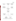Page 3 of 39 Version 1.0 Date: 6/25/03



**Figure 1-1. Organizational Chart of Ammonia CEM Verification Test**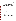- Establish a budget for the verification test and monitor the effort to ensure that budget is not exceeded
- Ensure that confidentiality of vendor information is maintained.

Ms. Amy Dindal is a Verification Testing Leader for the AMS Center. As such, Ms. Dindal will provide technical guidance and oversee the various stages of verification testing. She will:

- Support Dr. Cowen in preparing the test/QA plan and organizing the testing
- Review the draft test/QA plan
- Review the draft verification reports and statements.

Ms. Karen Riggs is Battelle's AMS Center manager. As such, Ms. Riggs will:

- Review the draft test/QA plan
- Review the draft verification reports and statements
- Ensure that necessary Battelle resources, including staff and facilities, are committed to the verification test
- Ensure that vendor confidentiality is maintained
- Support Dr. Cowen in responding to any issues raised in assessment reports and audits
- Maintain communication with EPA's technical and quality managers
- Facilitate a stop work order if Battelle or EPA QA staff discovers adverse findings.

Mr. Zachary Willenberg is Battelle's Quality Manager for the AMS Center. As such, Mr. Willenberg will:

Review the draft test/QA plan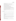- Conduct quality review of procedures/documentation provided by the sampling/analysis contractor
- Conduct a technical systems audit once during the verification test
- Review results of performance evaluation audit(s) specified in this test/QA plan
- Audit at least 10% of the verification data
- Prepare and distribute an assessment report for each audit
- Verify implementation of any necessary corrective action
- Issue a stop work order if internal audits indicate that data quality is being compromised; notify Battelle's AMS Center Manager if such an order is issued
- Provide a summary of the QA/QC activities and results for the verification reports
- Review the draft verification reports and statements
- Ensure that all quality procedures specified in this test/QA plan and in the  $QMP^{(1)}$ are followed.

Battelle testing staff will support Dr. Cowen in planning and conducting the verification test. These staff will:

- Assist in planning for the test, and making arrangements for the installation of the CEMs
- Assist vendors and test facility staff as needed during the CEM installation and verification testing
- Assure that test procedures and data acquisition are conducted according to this test/QA plan
- Contribute to the planning of statistical treatment of the CEMs data as needed
- Perform statistical calculations specified in this test/QA plan on the analyzer data as needed
- Provide results of statistical calculations and associated discussion for the verification reports as needed
- Support Dr. Cowen in responding to any issues raised in assessment reports and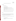audits related to statistics and data reduction as needed.

# **1.3.2 Vendors**

Vendor representatives will:

- Review the draft test/QA plan
- Approve the final test/QA plan
- Provide an ammonia CEM for the duration of the verification test
- Commit or train a technical person to operate, maintain, and repair the CEM throughout the verification test
- Participate in verification testing, including providing data acquisition for their CEMs
- Provide to Battelle staff the data from their CEM at the conclusion of each test day
- Review their respective draft verification report and verification statement.

# **1.3.3 EPA**

EPA's responsibilities in the AMS Center are based on the requirements stated in the "Environmental Technology Verification Program Quality Management Plan" (ETV QMP).<sup>(2)</sup> The roles of specific EPA staff under the ETV QMP are as follows:

Ms. Elizabeth Betz is EPA's AMS Quality Manager. For the verification test, Ms. Betz will:

- Review the draft test/QA plan
- Perform, at her option, one external technical systems audit during the verification test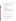- Notify the Battelle AMS Center Manager to facilitate a stop work order if an external audit indicates that data quality is being compromised
- Prepare and distribute an assessment report summarizing the results of the external audit, if one is performed
- Review the draft verification reports and statements.

Mr. Robert Fuerst is EPA's AMS Center Manager. As such, Mr. Fuerst will:

- Review the draft test/QA plan
- Approve the final test/QA plan
- Notify the Battelle AMS Center Manager to facilitate a stop work order if the external audit indicates that data quality is being compromised
- Review the draft verification reports and statements
- Oversee the EPA review process on the verification reports and statements
- Coordinate the submission of verification reports and statements for final EPA approval.

# **1.3.4 Host Facility**

This verification test will be conducted in collaboration with American Electric Power, who will provide a host facility for the test. The responsibilities of AEP and its on-site contractor are:

- Coordinate the operation of the host facility for the purposes of ETV testing
- Coordinate the installation of vendors' equipment at the host facility
- Communicate needs for safety and other training of staff working at the host facility
- Contribute to the development of the draft test/QA plan
- Review the draft test/QA plan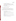- Provide on-site staff to assist during testing
- Provide calibrated facility monitoring equipment (Sections 6.3 and 7.11)
- Provide data on facility operations during testing, for the verification reports
- Provide input in responding to any issues raised in assessment reports and audits related to facility operations
- Review draft verification reports and statements

# **1.3.5 Reference Sampling/Analysis Subcontractor(s)**

Reference method sampling for ammonia will be conducted by one or more subcontractors to Battelle. Analysis of the collected samples will be conducted by Battelle or one or more subcontractors to Battelle. Such subcontractors may include organizations responsible for operation of the host facility. The responsibilities of such subcontractors are:

- Review the draft test/QA plan
- Adhere to the quality requirements in this test/ $QA$  plan
- Assemble trained technical staff to conduct reference method sampling for the verification test
- Oversee and conduct laboratory analysis of the reference method samples as appropriate
- Report reference method analytical and quality assurance results to Battelle in an agreed-upon format
- Support Dr. Cowen in responding to any issues raised in assessment reports and audits related to reference method sampling and analysis.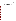EPRI is providing co-funding for this verification test. EPRI's activities will also include:

- Review the draft test/QA plan
- Provide input on the schedule and procedures for reference method sampling and analysis
- Review the reference method data
- Review the draft verification reports and statements.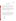#### **2.0 VERIFICATION APPROACH**

#### **2.1 Introduction**

This test/QA plan is applicable to the verification testing of commercial CEMs for determining gaseous ammonia in combustion source emissions. This plan is specific for measurement of ammonia from a full-scale coal-fired power plant employing  $SCR NO<sub>x</sub>$  control technology.

The CEMs to be tested in this verification test are based on various technologies including tunable diode lasers and differential chemiluminescence NOx measurement. These technologies can be employed either in an extractive mode to remove flue gas from the duct, with a flow-through insertion probe to measure a small sample volume in-situ, or in a cross-stack mode to measure average concentrations across the width of the duct.

## **2.2 Scope**

The overall objective of the verification test described in this plan is to provide quantitative verification of the performance of the ammonia CEMs in realistic test conditions. This verification test evaluates the performance of new CEMs, installed in an operational fullscale facility, over a relatively short test period, in the hands of vendor staff skilled in their operation, or on-site support staff who have been trained by the vendors.

The performance parameters that are addressed by this test/QA plan include:

- **Accuracy**
- **Comparability**
- **Linearity**
- **Precision**
- Calibration drift
- Zero drift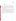- Response time
- Ease of use
- **Completeness**

Accuracy will be assessed for the CEMs being verified by determining the degree of agreement with known concentrations of compressed ammonia gas standards. Comparability will be assessed through the degree of agreement with a reference method. Precision will be assessed in terms of the repeatability of the ammonia measurements under stable test conditions. Calibration drift, zero drift, linearity, and response time will be assessed using commercial compressed gas standards of ammonia.

This verification test will be conducted concurrently for all CEMs being verified, and will occur over a period of approximately five weeks. The performance of the CEMs over that period will be assessed and reported. It is beyond the scope of this verification test to simulate the aging and exposures that may affect a CEM during routine long-term use. It must be noted that long-term performance may be different from that observed in the testing described here. However, the effort spent in installing and maintaining each CEM will be documented and used to assess ease of use. The amount of time each CEM is operational and maintenance activities performed over the verification test period will be recorded and reported, to help assess data completeness.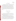#### **3.0 SITE DESCRIPTION**

This verification test will be conducted at AEP's Mountaineer Plant which is a coal-fired power plant located in New Haven, West Virginia. The CEMs to be tested will be installed at the exit of the air SCR and upstream of the air heater. At the testing location the duct dimensions are approximately 20 feet by 40 feet. Access to the flue gas for the CEMs and for wet chemical reference sampling will be available through ports in the duct at the testing location. Appropriate ports will be available for those CEMs requiring cross-duct access. The ammonia concentration in the duct will be mapped either prior to or after testing to assess the degree of stratification. Adjustments to the measured concentrations will be made based on the results of this mapping. During the test period, the boiler and SCR are scheduled to operate continuously.

## **4.0 EXPERIMENTAL DESIGN**

#### **4.1 General Design**

The verification test described in this test/QA plan will be conducted over a period of approximately five weeks. A window of approximately two weeks prior to testing will be available for installing the commercial CEMs at the facility, and conducting a shakedown run of all the CEMs before the verification test begins.

The installation/shakedown period is scheduled for approximately June 30 - July 11, 2003. The five weeks of testing will follow immediately after the setup/shakedown period. Testing will not begin until all of the reference method equipment is ready and the facilities are operating normally. Similarly, it is desirable that all the commercial CEMs be fully operational to participate in the verification test. However, to avoid delaying the start of the testing, it will be required that all participating CEMs arrive at the facility, and be ready to begin testing on July 14, or when the facility itself is fully ready, whichever is later. CEMs which are not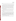Page 13 of 39 Version 1.0 Date: 6/25/03

operational at that time may join the testing process if they come on-line before the fifth day of testing.

The ammonia CEM testing will involve continuous monitoring of ammonia by the CEMs over the entire test period with reference method sampling conducted on each weekday during the first and fifth weeks of the test period. On each day of reference method sampling, duplicate reference method samples will be collected over each of three different sampling periods. The average CEM readings during these periods will be used for comparisons with the ammonia concentrations measured from the reference method samples. During each day of reference method sampling, a zero and span check will be conducted on the CEMs by challenging each with zero air and an ammonia gas standard. These zero/span checks will be used to assess drift of the CEMs during the test period.

During the third week of testing, each of the CEMs will independently be challenged with a series of runs involving dynamic spiking of compressed ammonia gas standards. The results of these runs will be used to assess accuracy of the CEMs as well as the linearity in instrument response.

Throughout the verification test, each CEM undergoing testing will be operated by the CEM vendor's own staff or by on-site staff trained by the vendor. However, the intent of the testing is for the CEM to operate continuously in a manner simulating operation at a combustion facility. **As a result, once the verification test has begun, no adjustment or recalibration will be performed, other than what would be conducted automatically by the CEM in normal unattended operation.** Repair or maintenance procedures may be carried out at any time, but testing will not be interrupted, and data completeness will be reduced if such activities prevent collection of CEM data required for verification.

The procedures of this verification test are described in more detail in the subsequent sections.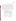#### **4.2 Test Conditions**

Table 4-1 shows the approximate levels of ammonia and other constituents that are typical of the flue gas stream at the host facility. Actual concentrations of these parameters and gaseous constituents during the testing period will be measured by the host facility's routine monitoring systems, or by the subcontractor conducting the reference method sampling. In all cases when reference method sampling is being conducted, the fuel loading and ammonia injection rate will be held as constant as possible throughout the entire sampling period (e.g., fuel loading rate within  $\pm 10\%$ , and ammonia injection rate within  $\pm 10\%$ ). The intent of this approach is to allow comparisons of CEM data to reference method data under constant conditions. It is expected that during normal operation, the ammonia concentrations in the flue gas will be at or below 2 ppmv, and during dynamic spiking the range of concentrations will be changed to be between approximately 0 and 10 ppmv.

| <b>Parameter/Constituent</b> | <b>Typical Conc. or Range</b>     |
|------------------------------|-----------------------------------|
| NH <sub>3</sub>              | $1 - 2$ ppmv                      |
| <b>NO<sub>x</sub></b>        | 37 ppmy                           |
| SO <sub>2</sub>              | 540 ppmv                          |
| O <sub>2</sub>               | $\sim 3.8\%$                      |
| Dust loading                 | 4.3 grains/dscf                   |
| H <sub>2</sub> 0             | $\sim 8\%$                        |
| CO <sub>2</sub>              | $\sim 15\%$                       |
| Temperature                  | Typically $600-650$ up to $750$ F |

| Table 4-1. Summary of Flue Gas Parameters or Constituent      |
|---------------------------------------------------------------|
| <b>Concentrations Typically Observed at the Host Facility</b> |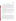#### **4.3 Test Procedures**

The CEMs undergoing verification will be installed between the exit of the SCR and the inlet of the air heaters. Ports for the reference method sampling will be located on the same duct with the CEMs as close as possible to the sampling locations of the CEMs. The sampling ports will be assigned so that no CEM is affected by the operation of any other CEM or by the reference method sampling. In-situ CEMs should be installed with either an in-line gas cell, or an external gas cell that can be used for calibration and dynamic spiking purposes. Likewise the extractive systems should be installed with a means of spiking compressed gas into the sampling probe upstream of the in-line filter.

At either the beginning or the end of each test day during the first and fifth weeks of testing, the CEMs undergoing testing will be supplied (one at a time) with zero gas and then with a commercial compressed gas standard containing ammonia. The order in which the CEMs are to be tested will be varied, as will the time of day during which the CEMs are challenged. After reaching equilibrium, the response to each gas will be recorded for use in assessing the zero and calibration drift of the CEMs.

 During the second and fourth weeks of the test, the CEMs will continue to operate continuously, though no zero/span checks or reference sampling will take place.

## **4.3.1 Reference Method**

During testing, wet chemical reference samples will be collected during the first and fifth weeks. Verification will include comparisons of the CEM results with those from a timeintegrated EPA Conditional Test Method for measurement of ammonia in flue gas  $(CTM027)^{(4)}$ . The conditional test method is similar to a draft ASTM method<sup> $(5)$ </sup> for measurement of ammonia, which is designed specifically for the measurement of low levels of ammonia, typical of slip concentrations from SCR applications. There are however some notable differences between the two methods. The primary difference between the two methods involves the sample analysis rather than the sample collection. The draft ASTM method<sup> $(5)$ </sup> calls for analysis by ion selective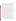electrode (ISE) whereas the EPA method<sup> $(4)$ </sup> calls for analysis by ion chromatography (IC). Other differences between the draft ASTM method and the EPA CTM027 include different concentrations and volumes of the  $H_2SO_4$  solution in impingers 1 and 2 of the sampling train. The draft ASTM method calls for a smaller volume of a more dilute acid solution. This is more appropriate than the levels recommended in the EPA CTM027 method for the measurement of low levels of ammonia, so the ASTM levels will be used in the EPA CTM027 method for this verification test.

During verification testing, reference sampling will be conducted simultaneously with two trains co-located with the CEMs being tested. The sampling duration for each run will typically be between 30 and 60 minutes. Thus each of the three reference sampling periods during a test day will provide two reference ammonia samples for comparison to the CEM data. Unique sample identification numbers will be implemented so that final data used for verification can be traced back through the analytical process to the original sample. Field blank samples will also be recovered from one blank sampling train on each of three days during each week that reference method samples are collected. Before sample recovery, that blank train will be transported to the sampling location. Care will be taken that the blank train is selected at random from the prepared trains, so that different trains are used as the blank on different days. Additionally, on each of three days during each week of reference sampling, one sample train will be spiked with ammonia solution to serve as a field spike sample.

Samples will be recovered from the reference method trains within two hours of sample collection, and each of the reference samples will be split into two portions with one portion analyzed on-site by the draft ASTM method<sup>(5)</sup> using an ISE (e.g., Thermo-Orion  $NH_3/NH_4^+$  gas sensing electrode, or similar), and the second portion analyzed in the laboratory by the EPA CTM027<sup>(4)</sup> using an IC (e.g., Dionex Model 2120, or similar). The ISE analysis will be conducted within two hours of sample recovery by Battelle or subcontractor staff, using available on-site facilities. The front and back impingers will be analyzed separately on-site by ISE. If no breakthrough has occurred, the solutions will be combined for IC analysis. The results of the on-site by ISE will not be used for verification of the CEMS. Rather they will be used to assess the ammonia levels being sampled and to ensure that the reference sampling is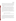being performed properly. Samples for IC analysis will be stored at  $4^{\circ}C \pm 2^{\circ}C$  (not frozen) until shipment to the analytical laboratory and will be shipped on blue ice to the analytical laboratory within one week of sample collection. After receipt at the laboratory, the samples will be stored at  $4^{\circ}\text{C} \pm 2^{\circ}\text{C}$  until analysis, and will be analyzed within two weeks of receipt. Just prior to IC analysis the samples will be removed from refrigerated storage and allowed to slowly warm to room temperature.

At the ammonia concentrations to be used in this verification, it is expected from previous results<sup>6</sup> that the precision of duplicate reference method results will be within about 35 percent relative percent difference. It is expected that day-to-day reproducibility of ammonia levels in the facility will also be within that range. Thus, during normal operation it is expected that the ammonia levels will be consistent to  $\pm$  35% throughout each week of testing. As a result, the entire set of reference method results, not merely those from a single test day, will be considered in screening for reference data quality. The reference method results will be reviewed before verification comparisons are made, to identify individual statistical outliers from the full set of reference method results. That is, the reference method results will be screened for two factors:

- Precision of results from co-located sampling trains
- Consistency of results with previous and later results at the respective sampling location

Identification of outliers will be based on basic statistical tests such as a t-test comparison of means, or a Q-test evaluation of divergent results. In any case where rejection of a reference result is suggested, effort will be made to find an assignable cause for the divergent result. Reference method results which are identified as statistical outliers on any of these criteria will be reported, but will not be used for verification. The intent of this approach is to provide a valid set of reference data for verification purposes, while also illustrating the degree of variability of the reference methods.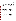## **4.3.2 Dynamic Spiking**

During the third week of testing, each of the CEMs will be challenged with a series of dynamic spiking runs. During these runs the ammonia concentrations will be increased by approximately 2, 5, and 8 ppmv above the flue gas concentration. At each spike concentration, a series of runs will be conducted including 12 spiked and 12 unspiked sample measurements. These measurements will be performed by sampling pairs of spiked samples, followed by sampling pairs of unspiked samples. Prior to measurement, each CEM will be readied by purging the gas cell (for in-situ analyzers) with at least 10 volumes of zero air or by purging the sampling probe (for extractive CEMs) with at least 10 volumes of sample gas. After this purging is completed, a standard ammonia gas mixture will be introduced, at a measured flow rate, to the gas cell (for in-situ analyzers), or to the sampling probe (for extractive CEMs). The CEM readings of the spiked sample will be recorded after at least 10 volumes of gas have passed through the gas cell or sampling probe. A second spiked sample will be measured after at least five volumes of gas have passed through the sample cell or sampling probe after the measurement of the first spiked sample. After the second spiked sample is measured, a pair of unspiked samples will be measured following the same procedure as the spiked samples with the exception that zero air will be substituted for the ammonia spike gas. The procedures for the collection of the spiked and unspiked samples will be conducted a total of six times at each of the spike concentrations to obtain 12 spiked and 12 unspiked samples at each concentration.

For the in-situ CEMs, these dynamic spiking runs will be conducted by flowing compressed ammonia gas standards into the in-line or external gas cell to achieve the desired ammonia concentrations. The ammonia and the zero air will be supplied as described above or until the CEM readings reach equilibrium, at which point the measured concentration and the spike gas flow rate will be recorded. The volume/length of the gas cell, the optical pathlength, and the known concentration of the gas standard will be used to calculate the theoretical increase in cross-stack concentration introduced during the run.

For the extractive CEMs, the dynamic spiking will be conducted by injecting ammonia gas into the probe tip upstream of the particulate filter such that the ammonia passes through as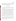much of the sampling system as possible. The ammonia gas standard should mix with the flue gas at a ratio of approximately 1 part spike gas to 9 parts flue gas or more dilute. The flow rate of the compressed gas and the dilution ratio of the spike gas will be used in calculate the theoretical increase in concentration introduced during the spiking.

#### **4.4 Data Comparisons**

This section describes how the reference and CEM data will be used and compared to quantify the performance of the CEMs. Table 4-2 summarizes the data that will be used for the verification comparisons.

The results of the dynamic spiking will be used to assess accuracy of the CEM results relative to calculated ammonia concentrations determined from the spike gas concentration and flow rate. For each spiking run, the difference between the ammonia concentration measured by the CEM and the calculated ammonia concentration from spiking will be determined. The differences will be used to assess accuracy of the CEM results as described in Section 5.1.

For comparison to the reference method results, the measurements from each of the CEMs will be separately averaged over each of the individual reference sampling periods. Comparability with the reference method will be assessed by comparing the averaged CEM results during the reference sampling periods with the reference results from the respective periods as described in Section 5.2. A total of 30 ammonia reference sampling runs is planned in the verification test (15 during each of the first and fifth weeks of testing), with two reference method sampling trains operating simultaneously in each sampling run. Thus a total of 60 reference samples will be used to evaluate comparability of the CEMs relative to the reference method.

Linearity of the CEM response will be assessed from the dynamic spiking results. The measured ammonia concentrations and the calculated ammonia concentrations will be used to assess linearity in the range from the background concentration to approximately 8 ppmv above background. A total of 72 data points (36 background and 12 each at 2, 5, and 8 ppmv above background) will be used for this assessment.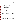| Performance<br>Parameter | Objective                                                                                                                      | <b>Comparison Based On</b>                                                                                                                                               | <b>Total Number of</b><br><b>Data Points for</b><br>Verification |
|--------------------------|--------------------------------------------------------------------------------------------------------------------------------|--------------------------------------------------------------------------------------------------------------------------------------------------------------------------|------------------------------------------------------------------|
| Accuracy                 | Determine degree of quantitative<br>Dynamic spiking with<br>agreement with compressed gas<br>ammonia gas standards<br>standard |                                                                                                                                                                          | 36                                                               |
| Comparability            | Reference method results<br>Determine degree of quantitative<br>agreement with reference method                                |                                                                                                                                                                          | 60                                                               |
| Linearity                | Determine linearity of response over<br>a range of ammonia concentrations                                                      | Dynamic spiking with gas<br>standards                                                                                                                                    | 72                                                               |
| Precision                | Determine repeatability of<br>successive measurements at fixed<br>ammonia levels                                               | Repetitive measurements under<br>constant facility conditions<br>measured over the duration of<br>each reference method<br>sampling run, and each<br>dynamic spiking run | 66                                                               |
| Cal/Zero Drift           | Determine stability of zero gas and<br>span gas response over successive<br>days                                               | Zero gas and NH <sub>3</sub> gas standard                                                                                                                                | 10                                                               |
| Response Time            | Determine rise and fall time                                                                                                   | Recording successive readings<br>at start and end of sampling<br>$NH3$ gas standard                                                                                      | 6                                                                |

# **Table 4-2. Summary of Data to be Obtained in Ammonia CEM Verification Test**

Precision of the CEMs will be assessed based on the individual measurements performed by each CEM over the duration of each reference method sampling run. For example, if a CEM provides an updated measurement every 5 minutes, then over a twenty five minute sampling run a total of 5 readings would be obtained. The average and standard deviation of those readings will be calculated to assess precision. This procedure will be applied to each of the 30 of the reference method sampling intervals, and each of the 36 dynamic spiking runs at elevated ammonia concentrations.

Calibration and zero drift will be verified based on challenging the CEMs with zero gas and with a compressed gas standard of ammonia on each test day during the first and fifth weeks of the test. Thus up to 10 data points will be used to assess zero drift, and an equal number to assess calibration drift. Calibration drift of the CEMs will be assessed at approximately 80% of full scale for each of the respective CEMs.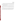CEM response time will be assessed once in each of the first, third, and fifth weeks of the test, by recording successive CEM readings as the CEM responds to the ammonia gas standard, or returns to baseline after analysis of that standard. The former readings will indicate the CEM rise time, and the latter the CEM fall time.

 No additional test activities will be required to determine the data completeness achieved by the CEMs. Data completeness will be assessed by comparing the data recovered from each CEM to the amount of data that would be recovered upon completion of all portions of these test procedures.

Setup and maintenance needs will be documented qualitatively, both through observation and through communication with the vendors (or their trained representatives) during the test. Factors to be noted include the frequency of scheduled maintenance activities, the downtime of the CEM, and the number of staff operating or maintaining it during the verification test.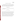#### **5.0 STATISTICAL CALCULATIONS**

The statistical calculations to be used to verify CEM performance are described below. In all cases, measurement results from both the reference method and the CEMs undergoing testing are to be reported in units of ppmv on a dry basis at  $20^{\circ}$ C, 1 atmosphere pressure, and the actual flue gas  $O_2$  content. All calculations will be performed using Microsoft Excel<sup>TM</sup>.

#### **5.1 Relative Accuracy**

The relative accuracy (RA) of the CEMs with respect to the ammonia gas standards will be assessed using Equation 1:

$$
RA = \frac{|\overline{d}| + t_{n-1}^{\alpha} \frac{S_d}{\sqrt{n}}}{\overline{x}} \times 100\%
$$
 (1)

where *d* refers to the difference between the calculated ammonia concentration from the dynamic spiking and the average of the CEM measurements recorded during the respective spiking periods, and *x* corresponds to the calculated spike concentration.  $S_d$  denotes the sample standard deviation of the differences, while  $t_{n-1}^{\alpha}$  is the t value for the 100(1 -  $\alpha$ )th percentile of the distribution with n-1 degrees of freedom. The relative accuracy will be determined for an  $\alpha$ value of 0.025 (i.e., 97.5 percent confidence level, one-tailed). The RA calculated in this way can be interpreted as an upper confidence bound for the relative bias of the analyzer, i.e.,  $\frac{\partial \hat{F}^*}{\partial x}$ , where the superscript bar indicates the average value of the differences or of the reference values. Relative accuracy will be calculated separately at each of the spiking levels.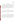#### **5.2 Comparability**

Comparability between the CEM results and the EPA CTM027 reference method results will be assessed using Equation 1, in which *d* represents the difference between the average of paired reference method results and the average of the CEM results from the period during which the paired reference method samples were collected, and *x* corresponds to the average of the paired reference method results. Comparability will be calculated using all EPA CTM 027 reference method sample results (assuming all reference method samples can be treated as independent results). The impact of the number of data points (n) on the RA value will be noted in the verification report.

#### **5.3 Linearity**

Linearity will be assessed by a linear regression analysis of the dynamic spiking data using the calculated ammonia concentrations as the independent variable and the CEM results as the dependent variable. Linearity will be expressed in terms of slope, intercept, and coefficient of determination  $(r^2)$ .

## **5.4 Precision**

Precision will be calculated in terms of the percent relative standard deviation (RSD) of a series of CEM measurements made over the duration of each reference method sampling run with ammonia injected at a constant level into the SCR zone, and during each of the dynamic spiking runs. During each reference method sampling run, and during each dynamic spiking run, all readings from a CEM undergoing testing will be recorded, and the mean and standard deviation of those readings will be calculated. Precision (*P*) will then be determined as:

$$
P = \frac{SD}{\overline{X}} \times 100\tag{1}
$$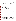Page 24 of 39 Version 1.0 Date: 6/25/03

where *SD* is the standard deviation of the CEM readings and  $\overline{X}$  is the mean of the CEM readings. This calculation will be done for each CEM, using the CEM data collected during every reference method sampling run and dynamic spiking run. The verification report will note that the calculated precision is subject to the variability of the host facility, and not only to the CEM variability. Although no comparison among CEMs will be made, all CEM data from the periods of reference sampling will be reviewed, to assess whether the consensus of the CEM data indicates an unusual variation in the test facility itself. If such a variation is indicated, that finding will be noted in all verification reports.

#### **5.5 Calibration and Zero Drift**

Calibration and zero drift will be reported in terms of the mean, relative standard deviation, and range (maximum and minimum) of the readings obtained from the CEM in the daily sampling of the same ammonia standard gas, and of zero gas. Up to 10 ammonia standard readings, and up to 10 zero readings, will be used for this calculation. This calculation, along with the range of the data, will indicate the day-to-day variation in zero and standard readings.

#### **5.6 Response Time**

Response time will be assessed in terms of both the rise and fall times of each ammonia CEM when sampling the ammonia gas standard. Rise time (i.e., 0% - 95% response time) will be determined by recording all CEM readings as the gas supplied to the CEM is switched from zero gas to the ammonia standard. Once a stable response has been achieved with the gas standard, the fall time (i.e., the 100% to 5% response time) will be determined in a similar way, by recording all CEM readings as the gas supplied is switched from the ammonia standard back to zero gas. For CEMs which provide periodic rather than continuous readings, determination of rise and fall times may involve interpolation between readings.

Rise and fall times will each be determined once for each CEM in each of the first, third,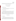and fifth weeks of the test. Thus a total of six data points will be obtained relevant to response time for each CEM. Rise and fall times will be reported in units of seconds.

#### **6.0 MATERIALS AND EQUIPMENT**

# **6.1 Gases and Chemicals**

#### **6.1.1 High Purity Nitrogen/Air**

The high purity gases used for zeroing of the CEMs will be commercial ultra-high purity (UHP, i.e., minimum 99.999% purity) air or nitrogen.

## **6.1.2 Ammonia Standard Gases**

Compressed gas standards containing ammonia will be obtained for use in the calibration checks and the dynamic spiking activities of the CEMs. These will consist of ammonia in a nitrogen matrix, at levels appropriate to achieve increases above background concentrations of approximately 2, 5, and 8 ppmv during dynamic spiking, and for use in the calibration checks performed during the first and last weeks of testing. Multiple cylinders of uniform concentration will be obtained, if required to meet the gas consumption rates of the CEMs during the test.

#### **6.2 Reference Method**

#### **6.2.1 Sampling Trains**

The glassware, filters, and associated equipment for performance of the reference method $^{(4)}$  sampling will be supplied by the subcontractor and will meet the requirements of the EPA conditional test method for ammonia measurement. Multiple trains will be supplied so that six trains (i.e., three sampling runs with two trains each) may be sampled in a single day, in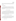addition to at least three blank trains and three spiked trains per week. Preparation, sampling, sample recovery, and cleaning of used trains will be the responsibility of the contractor in this verification test.

## **6.2.2 Analysis Equipment**

Laboratory equipment for sample recovery and analysis will be provided by either the subcontractor or by Battelle, depending on who will conduct the analysis. This equipment will include all chemicals and solutions for preparation of the samples for analysis as well as for the analysis of the samples. An ISE will be provided for on-site analysis, and an IC will be available for laboratory analysis.

#### **6.3 Facility Monitoring Equipment**

This verification will make use of monitoring equipment already integrated into the host facility. This equipment includes monitors for major flue gas constituents  $(O_2, CO_2)$  and for chemical contaminants  $(CO, NO<sub>x</sub>, SO<sub>2</sub>)$ , as well as sensors for temperature and pressure and may include ammonia CEM systems already installed at the facility. These devices are considered part of the host facility for purposes of this test, and will be operated by the host facility during this verification according to normal facility procedures.

#### **6.4 Equipment Used for Performance Evaluation Audits**

As described in Section 7.3.2, performance evaluation (PE) audits will be performed for the  $O_2$ ,  $CO_2$ , temperature, and pressure measurements in the flue gas. Those PE audits will be performed by conducting a parallel measurement using an independent monitoring device. The devices to be used will be provided by Battelle, and may include the following:

Paramagnetic  $O_2$  monitor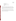- Infrared CO<sub>2</sub> monitor
- Thermocouple temperature indicator
- Aneroid barometer
- Magnehelic differential pressure indicator
- Flow meter.

These devices will have been calibrated by the manufacturer or by Battelle's Instrument Laboratory within the six months immediately preceding the verification test, or calibrated on site as necessary. In addition, a calibrated set of weights will be used, to audit the balance used to weigh impingers from the reference method trains (used for determining flue gas H2O content).

A NIST-traceable ammonia standard will also be used to spike three blank reference method trains, in each of the first and fifth weeks of the test to assess the overall ammonia measurement. NIST-traceable ammonia standards will be used to prepare blind audit samples to assess the performance of both the ISE and the IC.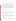#### **7.0 QUALITY ASSURANCE/QUALITY CONTROL**

The subcontractor(s) performing the reference method sampling must perform all required quality assurance/quality control (QA/QC) activities stated in the method<sup>(4)</sup>. This includes provision of blank sampling trains (three per week), and of blank sampling materials (filters, reagent solution blanks) in the field. Documentation of these activities will be required for inclusion in the verification data file. Deviation from the reference method $^{(4)}$  will occur in that the concentrations and volumes of the solutions used in the impingers will be those identified in the draft ASTM method<sup>(5)</sup>. Spiking of reference trains will be performed by Battelle staff, as described in Section 7.3.2.

## **7.1 Equipment Calibrations**

# **7.1.1 Host Facility Equipment**

The host facility CEMs and other monitoring devices noted in Section 6.3 will be calibrated by host facility staff according to normal facility procedures. All calibration results must be documented for inclusion in the verification test data files and verification report.

# **7.1.2 Reference Method Sampling Equipment**

Equipment used for the collection of the reference samples will be calibrated by the subcontractor(s) according to the procedures described in the reference method $^{(4)}$ . All calibration results must be documented for inclusion in the verification test data files and verification report.

# **7.1.3 Analytical Equipment**

Analysis of the reference samples will be conducted both on-site using an ISE and in a laboratory using IC. The ISE analysis will be used only for initial QA purposes to ensure that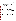Page 29 of 39 Version 1.0 Date: 6/25/03

the ammonia levels in the duct are within the expected range and to ensure that the reference sampling is being conducted properly. The ISE will be calibrated according to the manufacturer's recommendations using at least three different solutions prepared from NISTtraceable ammonia standards. Immediately after calibration, at least three standard solutions will be reanalyzed using the ISE. If the ISE reading does not agree between the standard concentration of the solutions within 10% the calibration will be repeated. The calibration will be conducted on-site daily during each week of reference sampling and will include ammonia concentrations that will bracket the concentrations expected in the reference samples.

The equipment used for the IC analysis will be calibrated by staff of the laboratory performing the analysis. The calibration will be conducted according to the manufacturer recommendations and the requirements of the reference method, $<sup>(4)</sup>$  and will include</sup> concentrations of ammonia standard solutions that bracket the expected concentration of the sample solutions. The calibration will be acceptable if the  $r^2$  of the calibration curve is  $>0.95$ . All calibration results must be documented for inclusion in the verification test data files and verification report.

# **7.1.4 Calibration Check/Dynamic Spiking Equipment**

The dry gas meter used for measurement of the spike gas flow rate during the calibration checks and the dynamic spiking activities will be calibrated by the Battelle Instrument Laboratory against a NIST-traceable flow transfer standard. The date of the calibration will be within one year of the date of the dynamic spiking activities.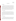#### **7.2 QA/QC Samples**

#### **7.2.1 Field Blanks**

During each week of reference method sampling, a total of three sampling trains will be used as field blank samples. These trains will be prepared and transported to the sampling location but will not be used to collect a sample of flue gas. The trains will then be disassembled and the field blank solutions will be analyzed on-site by ISE to ensure that the background concentration due to on-site handling and exposure is negligible relative to the ammonia content of the samples. If background levels are greater than 10% of the sample concentrations, no additional reference sampling will be conducted until the cause of the contamination is identified and rectified. The field blank solutions will also be analyzed in the laboratory by IC.

#### **7.2.2 Laboratory Blanks**

Laboratory blank solutions will be prepared for both ISE and the IC analysis. The solutions will be analyzed prior to analysis of the reference samples. A laboratory blank solution will be analyzed after every  $10<sup>th</sup>$  reference method sample to ensure no drift in the ISE or IC instrumentation. If the blank levels are greater than 10% of the expected sample concentrations, the cause of the contamination is identified and rectified, and all analyses performed after the most recent acceptable blank will be invalidated and analysis of those samples will be repeated (if possible).

#### **7.2.3 Laboratory Spikes**

Laboratory spike solutions will be prepared with concentrations approximately equal to ammonia concentrations expected from the collection of a 5  $ft^3$  sample of flue gas with 2 ppmv ammonia. These solutions will be prepared for both ISE and the IC analysis using NISTtraceable ammonia solutions. The solutions will be analyzed prior to analysis of the reference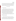samples. A laboratory spike solution will be analyzed after every  $10<sup>th</sup>$  reference method sample to ensure no drift in the ISE or IC instrumentation. If the measured concentrations are not within  $\pm 10\%$  of the spike concentration, the cause of the discrepancy will be investigated and rectified if possible. If such a discrepancy is observed, all analyses performed after the most recent acceptable spike will be invalidated and analysis of those samples will be repeated (if possible).

#### **7.3 Assessment and Audits**

## **7.3.1 Technical Systems Audits**

Battelle's ETV Quality Manager, Mr. Zachary Willenberg, will perform a technical systems audit (TSA) once during the performance of this verification test. The purpose of this TSA is to ensure that the verification test is being performed in accordance with this test/QA plan and that all QA/QC procedures are being implemented. In this audit, Mr. Willenberg may review the reference sampling and analysis methods used, compare actual test procedures to those specified in this plan, and review data acquisition and handling procedures. Mr. Willenberg will prepare a TSA report, the findings of which must be addressed either by modifications of test procedures or by documentation in the test records and report.

At EPA's discretion, EPA QA staff may also conduct an independent on-site TSA during the verification test. The TSA findings will be communicated to testing staff at the time of the audit, and documented in a TSA report.

#### **7.3.2 Performance Evaluation Audit**

A performance evaluation (PE) audit will be conducted to assess the quality of the measurements made in this verification test. This audit addresses only those measurements that factor into the data used for verification, i.e., the CEMs being verified and the vendors operating these CEMs are not the subject of the performance evaluation audit. This audit will be performed once during the verification test, and must be performed by analyzing a standard or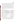Page 32 of 39 Version 1.0 Date: 6/25/03

comparing to a reference that is independent of standards used during the testing. For most of the key measurements, this audit will be done by comparing data from the facility equipment to that from a second analyzer or monitor, operated simultaneously. For example, the PE audit of  $O_2$  data will involve sampling with a second  $O_2$  analyzer at the same point in the duct, and comparing results. The will be calculated as the difference between the two readings divided by the audit reading. Similar comparisons will be made for temperature, pressure, and  $CO<sub>2</sub>$ . In addition, the balance used to determine flue gas  $H<sub>2</sub>O$  content by means of the reference method impinger samples will be checked with a calibrated set of weights different from those used to calibrate the balance for use. Table 7-1 summarizes the PE audits that will be done. These audits will be the responsibility of Battelle staff, and will be carried out with the cooperation of host facility staff.

| Parameter                         | <b>Audit Procedure</b>                             | <b>Expected Tolerance</b>                  |
|-----------------------------------|----------------------------------------------------|--------------------------------------------|
| O <sub>2</sub>                    | Compare to independent $O_2$ measurement           | $\pm 1\%$ of O <sub>2</sub> reading        |
| CO <sub>2</sub>                   | Compare to independent CO <sub>2</sub> measurement | $\pm 10\%$ of CO <sub>2</sub> reading      |
| Temperature                       | Compare to independent temperature measurement     | $\pm$ 2% absolute temperature              |
| <b>Barometric Pressure</b>        | Compare to independent pressure measurement        | $\pm 0.5$ inch of H <sub>2</sub> O         |
| Flue Gas Differential<br>Pressure | Compare to independent pressure measurement        | $\pm 0.5$ inch of H <sub>2</sub> O         |
| Mass $(H, O)$                     | Check balance with calibrated weights              | $\pm 1\%$ or 0.5 g, whichever is<br>larger |
| Ammonia (overall<br>measurement)  | Spike reference method trains                      | $\pm$ 20% bias in spike recovery           |
| Ammonia (ISE<br>analysis)         | Blind audit sample                                 | $\pm$ 10% of standard<br>concentration     |
| Ammonia (IC analysis)             | Blind audit sample                                 | $\pm$ 10% of standard<br>concentration     |

#### **Table 7-1. Summary of PE Audits**

These PE audits will be carried out once during the period of operation at the host facility. Battelle will supply the equipment or standards needed to make the independent PE measurements. If agreement outside the indicated tolerance is found, the PE audit will be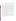Page 33 of 39 Version 1.0 Date: 6/25/03

repeated. Further failure to achieve agreement will result in re-calibration of the independent measurement device, and continued lack of agreement will result in all relevant data being flagged.

The PE audit will include spiking reference method sampling trains with known amounts of ammonia, and conducting sample analysis on the train without sampling the combustion gas. A NIST-traceable ammonium standard solution will be used for that purpose. During each week of sampling, three blank trains will be prepared spiked with a known amount of an ammonia standard solution, such that the ammonia concentration in the sample solution is approximately equal to the concentration expected from the collection of a 5  $ft^3$  sample of flue gas with 2 ppmv ammonia. The spiked trains will be transported to the sampling location but will not be used to collect a sample of flue gas. The trains will then be disassembled and the spiked samples will be analyzed on-site by ISE and the percent recovery will be calculated. Agreement of ammonia determined in sample analysis with that spiked into the sample train is expected to be within 20 percent. If the recovery of the field spikes is not >80% and <120%, no additional reference sampling will be conducted until the cause of the discrepancy is investigated and rectified if possible. Because reference sample analysis is performed on site by ISE, PE audit results for the overall ammonia measurement will be available during the test, and will be used to improve reference method procedures, if necessary.

The performance of the ISE and the IC used to analyze the reference samples will be audited by analyzing an ammonium standard that is independent of those used for the calibration. This sample will be provided as a blind audit sample and the operator of the ISE and the IC should not be aware of the concentration of the sample. If agreement between the measured concentration and the standard concentration is not within  $\pm 10\%$ , the cause of the discrepancy will be investigated and rectified if possible.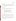## **7.3.3 Data Quality Audit**

Battelle's Quality Manager will audit at least 10 percent of the verification data acquired in the verification test. The Quality Manager will trace the data from initial acquisition, through reduction and statistical comparisons, and to final reporting. All calculations performed on the data undergoing audit will be checked.

#### **7.3.4 Assessment Reports**

Each assessment and audit will be documented in accordance with Section 3.3.4 of the QMP for the AMS Center.<sup>(1)</sup> Assessment reports will include the following:

- C Identification of any adverse findings or potential problems
- C Space for response to adverse findings or potential problems
- C Possible recommendations for resolving problems
- C Citation of any noteworthy practices that may be of use to others
- Confirmation that solutions have been implemented and are effective.

# **7.3.5 Corrective Action**

The Battelle Quality Manager during the course of any assessment or audit will identify to the technical staff performing experimental activities any immediate corrective action that should be taken. If serious quality problems exist, the Battelle Quality Manager is authorized to stop work.

Once the assessment report has been prepared, the Verification Test Coordinator will ensure that a response is provided for each adverse finding or potential problem, and will implement any necessary followup corrective action. The Battelle Quality Manager will ensure that follow-up corrective action has been taken.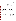## **8.0 DATA ANALYSIS AND REPORTING**

#### **8.1 Data Acquisition**

Data acquisition in this verification test includes recording of the data from the CEMs undergoing testing, documentation of sampling conditions and analytical results from the reference method, and recording of operational data such as combustion source conditions, test temperatures, the times of test activities, etc.

Data acquisition for the commercial CEMs undergoing verification will be performed by the CEM vendors during the test. Each CEM must have some form of data acquisition device, such as a digital display whose readings can be recorded manually, a printout of analyzer response, or an electronic data recorder that stores individual analyzer readings. The vendor will be responsible for reporting the response of the CEM for the entire test period. The CEM data are to be provided to Battelle regularly, and must include all individual readings of the CEM listed by time of day. Averaged results, e.g., ammonia data averaged over the period of a reference method sampling run, may also be provided, if available. If not provided, averaging will be performed by Battelle in data processing. Electronic data files are the preferred means of data transfer, with Excel® or ASCII file formats preferred. Electronic files requiring vendor's proprietary software will be supplied along with the software required to view the data.

Other data will be recorded in laboratory record books provided by Battelle and maintained by Battelle, vendor, and subcontractor staff involved in the testing. These records will be reviewed by Battelle to identify and resolve any inconsistencies. All written records must be in ink. Any corrections to notebook entries, or changes in recorded data, must be made with a single line through the original entry. The correction is then to be entered, initialed and dated by the person making the correction.

In all cases, strict confidentiality of data from each vendor's CEM, and strict separation of data from different CEMs, will be maintained. Separate files (including manual records, printouts, and/or electronic data files) will be kept for each CEM. At no time during verification testing will Battelle staff engage in any comparison in performance of the participating CEMs.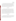Page 36 of 39 Version 1.0 Date: 6/25/03

Table 8-1 summarizes the types of data to be recorded; how, how often, and by whom the recording is made; and the disposition or subsequent processing of the data. The general approach is to record all test information immediately and in a consistent format throughout all tests. Data recorded by the vendors is to be turned over to Battelle staff immediately upon completion of each test day. Identical file formats will be used to make quantitative evaluations of the data from all CEMs tested, to assure uniformity of data treatment. This process of data recording and compiling will be overseen by the Verification Test Coordinator.

#### **8.2 Data Review**

Records generated in the verification test will be reviewed by a Battelle staff member within two weeks after the completion of the test, before these records are used to calculate, evaluate, or report verification results. These records may include laboratory record books; operating data from the combustion source; data from the CEMs; or reference method analytical results. This review will be performed by a Battelle technical staff member involved in the verification test, but not the staff member that originally generated the record. The host facility, subcontractor and/or vendor staff will be consulted as needed to clarify any issues about the data records. The review will be documented by the person performing the review by adding his/her initials and date to a hard copy of the record being reviewed.

## **8.3 Reporting**

The statistical data comparisons described in Section 5.0 will be conducted separately for each commercial ammonia CEM tested. Separate verification reports will then be prepared, each addressing the CEM provided by one commercial vendor. The verification report will present the test data, as well as the results of the statistical evaluation of those data.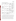| Data to be Recorded                                                                                              | Responsible<br>Party         | <b>Where Recorded</b>                                                                                    | <b>How Often</b><br><b>Recorded</b>                                                         | <b>Disposition of</b><br>$\mathbf{Data}^{(a)}$                                                               |
|------------------------------------------------------------------------------------------------------------------|------------------------------|----------------------------------------------------------------------------------------------------------|---------------------------------------------------------------------------------------------|--------------------------------------------------------------------------------------------------------------|
| Dates, times of test<br>events                                                                                   | Battelle/AEP                 | Laboratory record<br>books                                                                               | Start/end of test,<br>and at each change<br>of a test parameter.                            | Used to<br>organize/check test<br>results; manually<br>incorporated in data<br>spreadsheets as<br>necessary. |
| Test parameters<br>(temperature,<br>analyte/interferant<br>identities and<br>concentrations, gas<br>flows, etc.) | AEP/<br>subcontractor        | Laboratory record<br>books                                                                               | When set or<br>changed, or as<br>needed to document<br>stability.                           | Used to<br>organize/check test<br>results, manually<br>incorporated in data<br>spreadsheets as<br>necessary. |
| NH <sub>3</sub> CEM readings                                                                                     | Vendor or<br>designee        | Data acquisition<br>system (data logger,<br>PC, laptop, etc.).                                           | Continuously at<br>specified<br>acquisition rate<br>throughout CEM<br>operation.            | Electronically<br>transferred to<br>spreadsheets                                                             |
| Reference method<br>sampling data                                                                                | Subcontractor                | Laboratory record<br>books or file data<br>sheets as appropriate                                         | At least at start/end<br>of reference sample,<br>and at each change<br>of a test parameter. | Used to<br>organize/check test<br>results; manually<br>incorporated in data<br>spreadsheets as<br>necessary. |
| Reference method<br>sample analysis, chain<br>of custody (CoC), and<br>results                                   | Subcontractor<br>or Battelle | Laboratory record<br>books, CoC forms,<br>data sheets, or data<br>acquisition system, as<br>appropriate. | Throughout sample<br>handling and<br>analysis process                                       | Transferred to<br>spreadsheets                                                                               |

|  |  | <b>Table 8-1. Summary of Data Recording Process</b> |
|--|--|-----------------------------------------------------|
|--|--|-----------------------------------------------------|

(a) All activities subsequent to data recording are carried out by Battelle.

The verification report will briefly describe the ETV program and the AMS Center, and will describe the procedures used in verification testing. These sections will be common to each verification report resulting from this verification test. The results of the verification test will then be stated quantitatively, without comparison to any other CEM tested, or comment on the acceptability of the CEM's performance. The preparation of draft verification reports, the review of reports by vendors and others, the revision of the reports, final approval, and the distribution of the reports, will be conducted as stated in the Generic Verification Protocol for the Advanced Monitoring Systems Pilot.<sup>(3)</sup> Preparation, approval, and use of Verification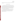Statements summarizing the results of this test will also be subject to the requirements of that same Protocol.

# **9.0 HEALTH AND SAFETY**

The verification test described in this test/QA plan will be performed at the AEP host facility. All participants in this verification test (i.e., Battelle, EPA, subcontractor, and vendor staff) will adhere to the health and safety requirements of the facility. Vendor staff will only be operating their CEMs during the verification test. They are not responsible for, nor permitted to, operate the combustion source, or perform any other verification activities identified in this test/QA plan. Operation of the CEMs themselves does not pose any known chemical, fire, mechanical, electrical, noise, or other potential hazard.

All visiting staff at the host facility will be given a site-specific safety briefing prior to the installation and operation of the CEMs. This briefing will include a description of emergency operating procedures (i.e., in case of fire, tornado, laboratory accident) and identification and location and operation of safety equipment (e.g., fire alarms, fire extinguishers, eye washes, exits).